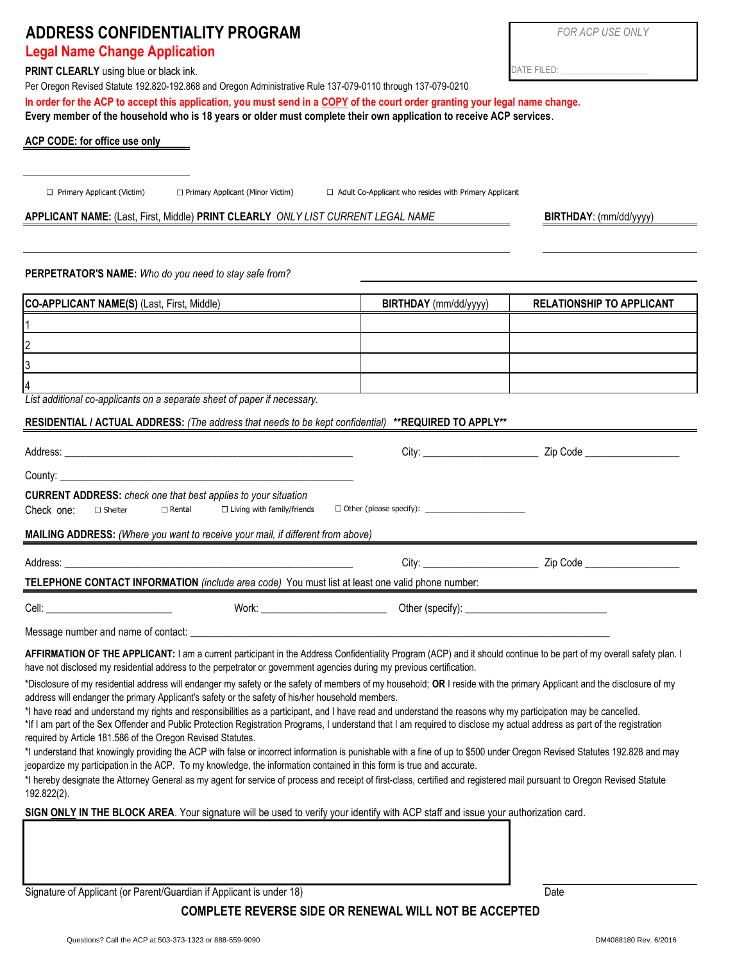# **ADDRESS CONFIDENTIALITY PROGRAM** *FOR ACP USE ONLY*

## **Legal Name Change Application**

**PRINT CLEARLY** using blue or black ink.

Per Oregon Revised Statute 192.820-192.868 and Oregon Administrative Rule 137-079-0110 through 137-079-0210

**In order for the ACP to accept this application, you must send in a COPY of the court order granting your legal name change. Every member of the household who is 18 years or older must complete their own application to receive ACP services**.

### **ACP CODE: for office use only**

Primary Applicant (Minor Victim)

 $\Box$  Primary Applicant (Victim)  $\Box$  Primary Applicant (Minor Victim)  $\Box$  Adult Co-Applicant who resides with Primary Applicant

#### **APPLICANT NAME:** (Last, First, Middle) **PRINT CLEARLY** *ONLY LIST CURRENT LEGAL NAME*

**PERPETRATOR'S NAME:** *Who do you need to stay safe from?* 

| CO-APPLICANT NAME(S) (Last, First, Middle)                               | <b>BIRTHDAY</b> (mm/dd/yyyy) | <b>RELATIONSHIP TO APPLICANT</b> |
|--------------------------------------------------------------------------|------------------------------|----------------------------------|
|                                                                          |                              |                                  |
| 12                                                                       |                              |                                  |
| 13                                                                       |                              |                                  |
| 14                                                                       |                              |                                  |
| List additional co-applicants on a separate sheet of paper if necessary. |                              |                                  |

#### **RESIDENTIAL / ACTUAL ADDRESS:** *(The address that needs to be kept confidential)* **\*\*REQUIRED TO APPLY\*\***

| County: the country of the country of the country of the country of the country of the country of the country of the country of the country of the country of the country of the country of the country of the country of the                                                                                                                                                                                                                 |  |  |  |  |
|-----------------------------------------------------------------------------------------------------------------------------------------------------------------------------------------------------------------------------------------------------------------------------------------------------------------------------------------------------------------------------------------------------------------------------------------------|--|--|--|--|
| <b>CURRENT ADDRESS:</b> check one that best applies to your situation<br>Check one:<br>$\Box$ Rental<br>$\Box$ Living with family/friends<br>$\Box$ Shelter                                                                                                                                                                                                                                                                                   |  |  |  |  |
| <b>MAILING ADDRESS:</b> (Where you want to receive your mail, if different from above)                                                                                                                                                                                                                                                                                                                                                        |  |  |  |  |
|                                                                                                                                                                                                                                                                                                                                                                                                                                               |  |  |  |  |
| TELEPHONE CONTACT INFORMATION (include area code) You must list at least one valid phone number:                                                                                                                                                                                                                                                                                                                                              |  |  |  |  |
| Cell: _____________________________                                                                                                                                                                                                                                                                                                                                                                                                           |  |  |  |  |
|                                                                                                                                                                                                                                                                                                                                                                                                                                               |  |  |  |  |
| AFFIRMATION OF THE APPLICANT: I am a current participant in the Address Confidentiality Program (ACP) and it should continue to be part of my overall safety plan. I<br>have not disclosed my residential address to the perpetrator or government agencies during my previous certification.                                                                                                                                                 |  |  |  |  |
| *Disclosure of my residential address will endanger my safety or the safety of members of my household; OR I reside with the primary Applicant and the disclosure of my<br>address will endanger the primary Applicant's safety or the safety of his/her household members.<br>*I have read and understand my rights and responsibilities as a participant, and I have read and understand the reasons why my participation may be cancelled. |  |  |  |  |
| *If I am part of the Sex Offender and Public Protection Registration Programs, I understand that I am required to disclose my actual address as part of the registration<br>required by Article 181.586 of the Oregon Revised Statutes.                                                                                                                                                                                                       |  |  |  |  |
| *I understand that knowingly providing the ACP with false or incorrect information is punishable with a fine of up to \$500 under Oregon Revised Statutes 192.828 and may<br>jeopardize my participation in the ACP. To my knowledge, the information contained in this form is true and accurate.                                                                                                                                            |  |  |  |  |
| *I hereby designate the Attorney General as my agent for service of process and receipt of first-class, certified and registered mail pursuant to Oregon Revised Statute<br>192.822(2).                                                                                                                                                                                                                                                       |  |  |  |  |
| SIGN ONLY IN THE BLOCK AREA. Your signature will be used to verify your identify with ACP staff and issue your authorization card.                                                                                                                                                                                                                                                                                                            |  |  |  |  |
|                                                                                                                                                                                                                                                                                                                                                                                                                                               |  |  |  |  |

Signature of Applicant (or Parent/Guardian if Applicant is under 18) Date

## **COMPLETE REVERSE SIDE OR RENEWAL WILL NOT BE ACCEPTED**

**BIRTHDAY**: (mm/dd/yyyy)

DATE FILED: